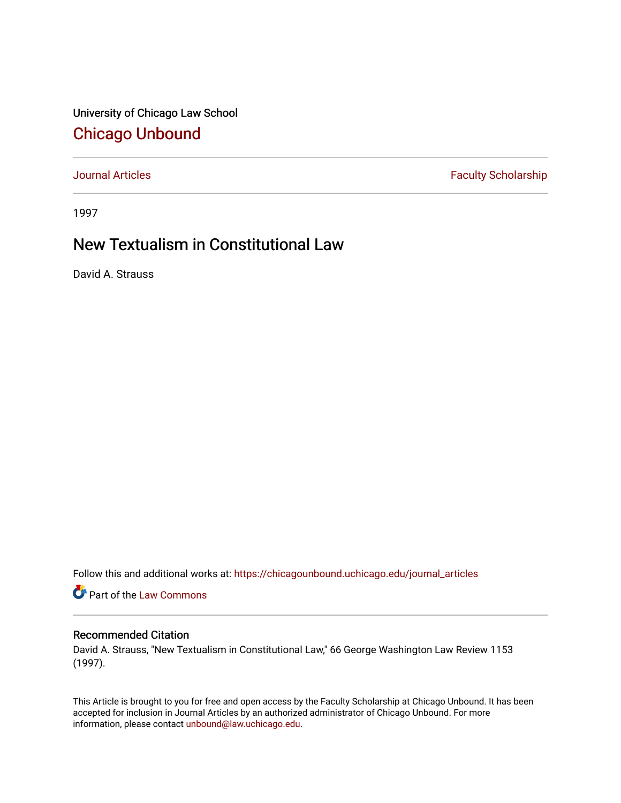University of Chicago Law School [Chicago Unbound](https://chicagounbound.uchicago.edu/)

[Journal Articles](https://chicagounbound.uchicago.edu/journal_articles) **Faculty Scholarship Faculty Scholarship** 

1997

### New Textualism in Constitutional Law

David A. Strauss

Follow this and additional works at: [https://chicagounbound.uchicago.edu/journal\\_articles](https://chicagounbound.uchicago.edu/journal_articles?utm_source=chicagounbound.uchicago.edu%2Fjournal_articles%2F1998&utm_medium=PDF&utm_campaign=PDFCoverPages) 

Part of the [Law Commons](http://network.bepress.com/hgg/discipline/578?utm_source=chicagounbound.uchicago.edu%2Fjournal_articles%2F1998&utm_medium=PDF&utm_campaign=PDFCoverPages)

### Recommended Citation

David A. Strauss, "New Textualism in Constitutional Law," 66 George Washington Law Review 1153 (1997).

This Article is brought to you for free and open access by the Faculty Scholarship at Chicago Unbound. It has been accepted for inclusion in Journal Articles by an authorized administrator of Chicago Unbound. For more information, please contact [unbound@law.uchicago.edu](mailto:unbound@law.uchicago.edu).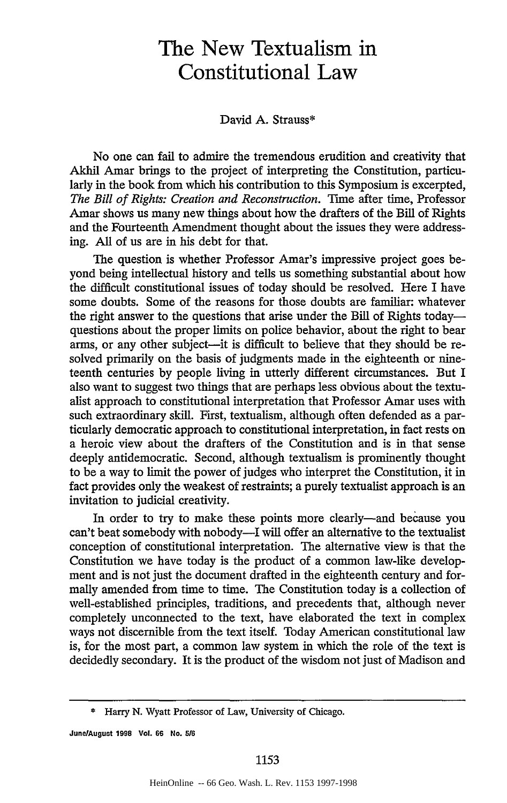# **The New Textualism in Constitutional Law**

#### David **A.** Strauss\*

No one can fail to admire the tremendous erudition and creativity that Akhil Amar brings to the project of interpreting the Constitution, particularly in the book from which his contribution to this Symposium is excerpted, *The Bill of Rights: Creation and Reconstruction.* Time after time, Professor Amar shows us many new things about how the drafters of the Bill of Rights and the Fourteenth Amendment thought about the issues they were addressing. All of us are in his debt for that.

The question is whether Professor Amar's impressive project goes beyond being intellectual history and tells us something substantial about how the difficult constitutional issues of today should be resolved. Here I have some doubts. Some of the reasons for those doubts are familiar: whatever the right answer to the questions that arise under the Bill of Rights todayquestions about the proper limits on police behavior, about the right to bear arms, or any other subject—it is difficult to believe that they should be resolved primarily on the basis of judgments made in the eighteenth or nineteenth centuries by people living in utterly different circumstances. But I also want to suggest two things that are perhaps less obvious about the textualist approach to constitutional interpretation that Professor Amar uses with such extraordinary skill. First, textualism, although often defended as a particularly democratic approach to constitutional interpretation, in fact rests on a heroic view about the drafters of the Constitution and is in that sense deeply antidemocratic. Second, although textualism is prominently thought to be a way to limit the power of judges who interpret the Constitution, it in fact provides only the weakest of restraints; a purely textualist approach is an invitation to judicial creativity.

In order to try to make these points more clearly—and because you can't beat somebody with nobody-I will offer an alternative to the textualist conception of constitutional interpretation. The alternative view is that the Constitution we have today is the product of a common law-like development and is not just the document drafted in the eighteenth century and formally amended from time to time. The Constitution today is a collection of well-established principles, traditions, and precedents that, although never completely unconnected to the text, have elaborated the text in complex ways not discernible from the text itself. Today American constitutional law is, for the most part, a common law system in which the role of the text is decidedly secondary. It is the product of the wisdom not just of Madison and

**June/August 1998 Vol. 66 No. 5/6**

<sup>\*</sup> Harry N. Wyatt Professor of Law, University of Chicago.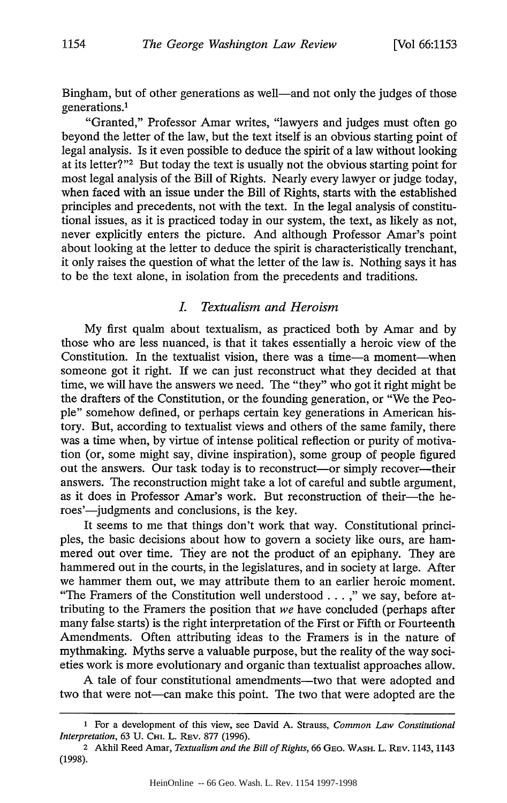Bingham, but of other generations as well—and not only the judges of those generations.1

"Granted," Professor Amar writes, "lawyers and judges must often go beyond the letter of the law, but the text itself is an obvious starting point of legal analysis. Is it even possible to deduce the spirit of a law without looking at its letter?"<sup>2</sup> But today the text is usually not the obvious starting point for most legal analysis of the Bill of Rights. Nearly every lawyer or judge today, when faced with an issue under the Bill of Rights, starts with the established principles and precedents, not with the text. In the legal analysis of constitutional issues, as it is practiced today in our system, the text, as likely as not, never explicitly enters the picture. And although Professor Amar's point about looking at the letter to deduce the spirit is characteristically trenchant, it only raises the question of what the letter of the law is. Nothing says it has to be the text alone, in isolation from the precedents and traditions.

### *I. Textualism and Heroism*

My first qualm about textualism, as practiced both by Amar and by those who are less nuanced, is that it takes essentially a heroic view of the Constitution. In the textualist vision, there was a time-a moment-when someone got it right. If we can just reconstruct what they decided at that time, we will have the answers we need. The "they" who got it right might be the drafters of the Constitution, or the founding generation, or "We the People" somehow defined, or perhaps certain key generations in American history. But, according to textualist views and others of the same family, there was a time when, by virtue of intense political reflection or purity of motivation (or, some might say, divine inspiration), some group of people figured out the answers. Our task today is to reconstruct—or simply recover—their answers. The reconstruction might take a lot of careful and subtle argument, as it does in Professor Amar's work. But reconstruction of their—the heroes'—judgments and conclusions, is the key.

It seems to me that things don't work that way. Constitutional principles, the basic decisions about how to govern a society like ours, are hammered out over time. They are not the product of an epiphany. They are hammered out in the courts, in the legislatures, and in society at large. After we hammer them out, we may attribute them to an earlier heroic moment. "The Framers of the Constitution well understood . **.** . " we say, before attributing to the Framers the position that *we* have concluded (perhaps after many false starts) is the right interpretation of the First or Fifth or Fourteenth Amendments. Often attributing ideas to the Framers is in the nature of mythmaking. Myths serve a valuable purpose, but the reality of the way societies work is more evolutionary and organic than textualist approaches allow.

A tale of four constitutional amendments-two that were adopted and two that were not—can make this point. The two that were adopted are the

**<sup>1</sup>** For a development **of** this view, see David **A.** Strauss, *Common Law Constitutional Interpretation,* **63 U. CHI.** L. **Ray,. 877 (1996).**

<sup>2</sup> Akhil Reed Amar, *Textualism and the Bill of Rights,* **66** GEo. WASH. L. REv. 1143, 1143 **(1998).**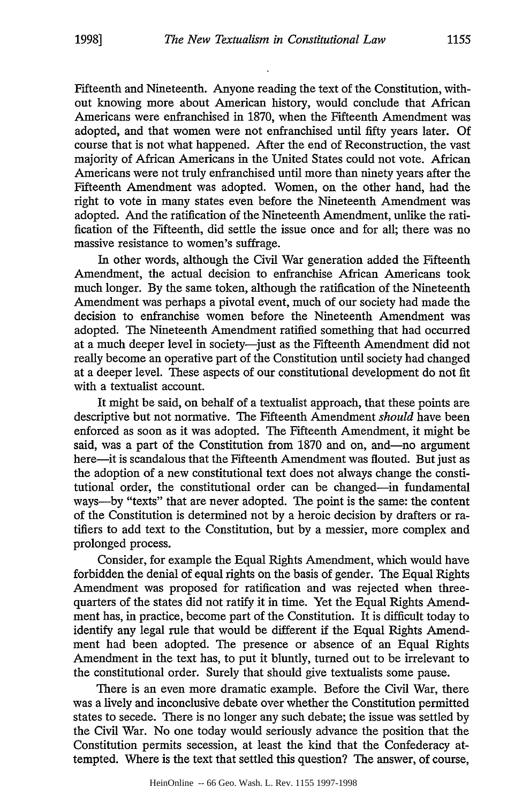Fifteenth and Nineteenth. Anyone reading the text of the Constitution, without knowing more about American history, would conclude that African Americans were enfranchised in 1870, when the Fifteenth Amendment was adopted, and that women were not enfranchised until fifty years later. Of course that is not what happened. After the end of Reconstruction, the vast majority of African Americans in the United States could not vote. African Americans were not truly enfranchised until more than ninety years after the Fifteenth Amendment was adopted. Women, on the other hand, had the right to vote in many states even before the Nineteenth Amendment was adopted. And the ratification of the Nineteenth Amendment, unlike the ratification of the Fifteenth, did settle the issue once and for all; there was no massive resistance to women's suffrage.

In other words, although the Civil War generation added the Fifteenth Amendment, the actual decision to enfranchise African Americans took much longer. By the same token, although the ratification of the Nineteenth Amendment was perhaps a pivotal event, much of our society had made the decision to enfranchise women before the Nineteenth Amendment was adopted. The Nineteenth Amendment ratified something that had occurred at a much deeper level in society-just as the Fifteenth Amendment did not really become an operative part of the Constitution until society had changed at a deeper level. These aspects of our constitutional development do not fit with a textualist account.

It might be said, on behalf of a textualist approach, that these points are descriptive but not normative. The Fifteenth Amendment *should* have been enforced as soon as it was adopted. The Fifteenth Amendment, it might be said, was a part of the Constitution from 1870 and on, and—no argument here-it is scandalous that the Fifteenth Amendment was flouted. But just as the adoption of a new constitutional text does not always change the constitutional order, the constitutional order can be changed-in fundamental ways-by "texts" that are never adopted. The point is the same: the content of the Constitution is determined not by a heroic decision by drafters or ratifiers to add text to the Constitution, but by a messier, more complex and prolonged process.

Consider, for example the Equal Rights Amendment, which would have forbidden the denial of equal rights on the basis of gender. The Equal Rights Amendment was proposed for ratification and was rejected when threequarters of the states did not ratify it in time. Yet the Equal Rights Amendment has, in practice, become part of the Constitution. It is difficult today to identify any legal rule that would be different if the Equal Rights Amendment had been adopted. The presence or absence of an Equal Rights Amendment in the text has, to put it bluntly, turned out to be irrelevant to the constitutional order. Surely that should give textualists some pause.

There is an even more dramatic example. Before the Civil War, there was a lively and inconclusive debate over whether the Constitution permitted states to secede. There is no longer any such debate; the issue was settled by the Civil War. No one today would seriously advance the position that the Constitution permits secession, at least the kind that the Confederacy attempted. Where is the text that settled this question? The answer, of course,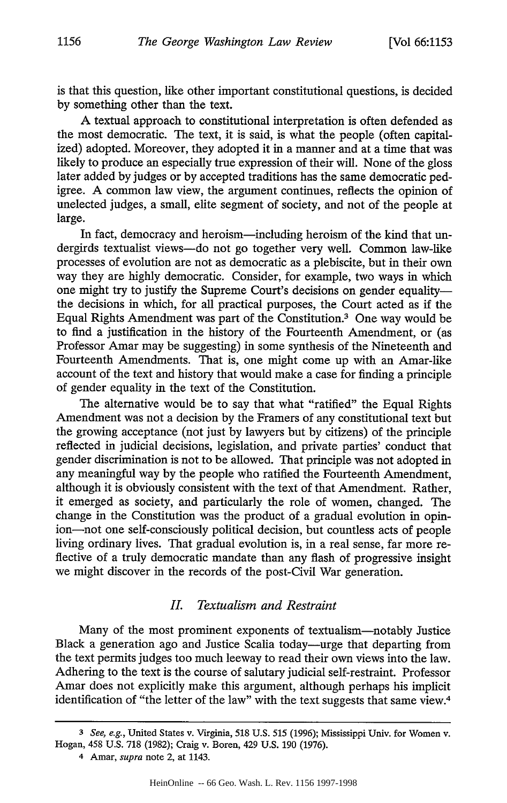is that this question, like other important constitutional questions, is decided by something other than the text.

A textual approach to constitutional interpretation is often defended as the most democratic. The text, it is said, is what the people (often capitalized) adopted. Moreover, they adopted it in a manner and at a time that was likely to produce an especially true expression of their will. None of the gloss later added by judges or by accepted traditions has the same democratic pedigree. A common law view, the argument continues, reflects the opinion of unelected judges, a small, elite segment of society, and not of the people at large.

In fact, democracy and heroism—including heroism of the kind that undergirds textualist views-do not go together very well. Common law-like processes of evolution are not as democratic as a plebiscite, but in their own way they are highly democratic. Consider, for example, two ways in which one might try to justify the Supreme Court's decisions on gender equalitythe decisions in which, for all practical purposes, the Court acted as if the Equal Rights Amendment was part of the Constitution.3 One way would be to find a justification in the history of the Fourteenth Amendment, or (as Professor Amar may be suggesting) in some synthesis of the Nineteenth and Fourteenth Amendments. That is, one might come up with an Amar-like account of the text and history that would make a case for finding a principle of gender equality in the text of the Constitution.

The alternative would be to say that what "ratified" the Equal Rights Amendment was not a decision by the Framers of any constitutional text but the growing acceptance (not just by lawyers but by citizens) of the principle reflected in judicial decisions, legislation, and private parties' conduct that gender discrimination is not to be allowed. That principle was not adopted in any meaningful way by the people who ratified the Fourteenth Amendment, although it is obviously consistent with the text of that Amendment. Rather, it emerged as society, and particularly the role of women, changed. The change in the Constitution was the product of a gradual evolution in opinion-not one self-consciously political decision, but countless acts of people living ordinary lives. That gradual evolution is, in a real sense, far more reflective of a truly democratic mandate than any flash of progressive insight we might discover in the records of the post-Civil War generation.

#### *II. Textualism and Restraint*

Many of the most prominent exponents of textualism-notably Justice Black a generation ago and Justice Scalia today-urge that departing from the text permits judges too much leeway to read their own views into the law. Adhering to the text is the course of salutary judicial self-restraint. Professor Amar does not explicitly make this argument, although perhaps his implicit identification of "the letter of the law" with the text suggests that same view.4

*<sup>3</sup> See, e.g.,* United States v. Virginia, **518 U.S. 515 (1996);** Mississippi Univ. for Women v. Hogan, 458 **U.S. 718 (1982);** Craig v. Boren, 429 **U.S. 190 (1976).**

<sup>4</sup> Amar, *supra* note 2, at 1143.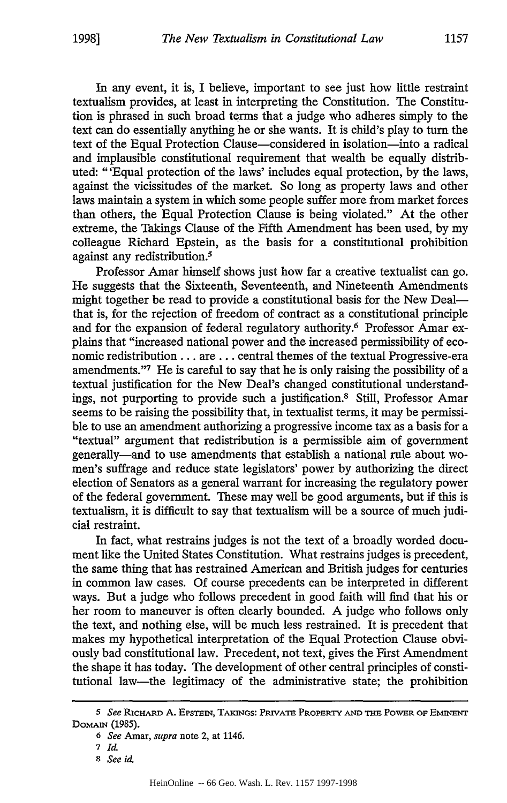In any event, it is, I believe, important to see just how little restraint textualism provides, at least in interpreting the Constitution. The Constitution is phrased in such broad terms that a judge who adheres simply to the text can do essentially anything he or she wants. It is child's play to turn the text of the Equal Protection Clause—considered in isolation—into a radical and implausible constitutional requirement that wealth be equally distributed: "'Equal protection of the laws' includes equal protection, by the laws, against the vicissitudes of the market. So long as property laws and other laws maintain a system in which some people suffer more from market forces than others, the Equal Protection Clause is being violated." At the other extreme, the Takings Clause of the Fifth Amendment has been used, by my colleague Richard Epstein, as the basis for a constitutional prohibition against any redistribution.<sup>5</sup>

Professor Amar himself shows just how far a creative textualist can go. He suggests that the Sixteenth, Seventeenth, and Nineteenth Amendments might together be read to provide a constitutional basis for the New Dealthat is, for the rejection of freedom of contract as a constitutional principle and for the expansion of federal regulatory authority.<sup>6</sup> Professor Amar explains that "increased national power and the increased permissibility of economic redistribution.., are... central themes of the textual Progressive-era amendments."<sup>7</sup> He is careful to say that he is only raising the possibility of a textual justification for the New Deal's changed constitutional understandings, not purporting to provide such a justification.8 Still, Professor Amar seems to be raising the possibility that, in textualist terms, it may be permissible to use an amendment authorizing a progressive income tax as a basis for a "textual" argument that redistribution is a permissible aim of government generally-and to use amendments that establish a national rule about women's suffrage and reduce state legislators' power by authorizing the direct election of Senators as a general warrant for increasing the regulatory power of the federal government. These may well be good arguments, but if this is textualism, it is difficult to say that textualism will be a source of much judicial restraint.

In fact, what restrains judges is not the text of a broadly worded document like the United States Constitution. What restrains judges is precedent, the same thing that has restrained American and British judges for centuries in common law cases. Of course precedents can be interpreted in different ways. But a judge who follows precedent in good faith will find that his or her room to maneuver is often clearly bounded. A judge who follows only the text, and nothing else, will be much less restrained. It is precedent that makes my hypothetical interpretation of the Equal Protection Clause obviously bad constitutional law. Precedent, not text, gives the First Amendment the shape it has today. The development of other central principles of constitutional law-the legitimacy of the administrative state; the prohibition

*<sup>5</sup> See* RicHARD **A.** EpSTEIN, TAKINGS: PRivATE PROPERTY **AND THE** POWER OF **EMINENT** DOMAIN (1985).

*<sup>6</sup> See* Amar, *supra* note 2, at 1146.

**<sup>7</sup>***Id.*

*<sup>8</sup> See id.*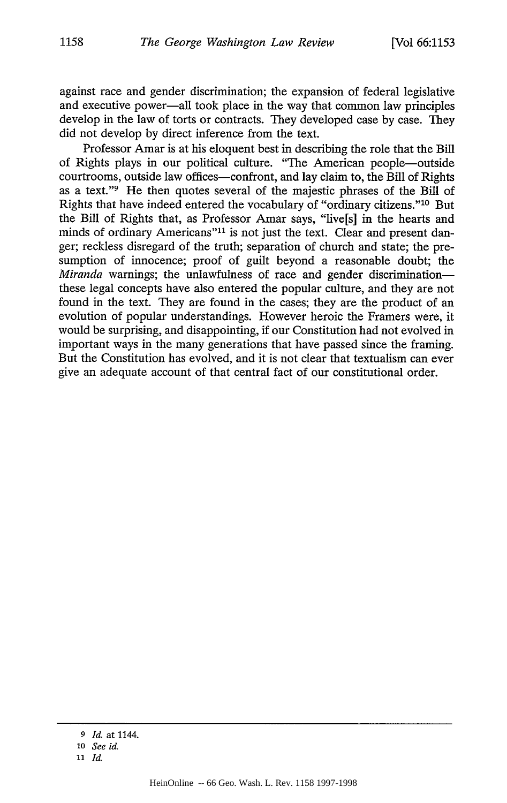against race and gender discrimination; the expansion of federal legislative and executive power-all took place in the way that common law principles develop in the law of torts or contracts. They developed case by case. They did not develop by direct inference from the text.

Professor Amar is at his eloquent best in describing the role that the Bill of Rights plays in our political culture. "The American people-outside courtrooms, outside law offices-confront, and lay claim to, the Bill of Rights as a text."9 He then quotes several of the majestic phrases of the Bill of Rights that have indeed entered the vocabulary of "ordinary citizens."'10 But the Bill of Rights that, as Professor Amar says, "live[s] in the hearts and minds of ordinary Americans"<sup>11</sup> is not just the text. Clear and present danger; reckless disregard of the truth; separation of church and state; the presumption of innocence; proof of guilt beyond a reasonable doubt; the *Miranda* warnings; the unlawfulness of race and gender discrimination these legal concepts have also entered the popular culture, and they are not found in the text. They are found in the cases; they are the product of an evolution of popular understandings. However heroic the Framers were, it would be surprising, and disappointing, if our Constitution had not evolved in important ways in the many generations that have passed since the framing. But the Constitution has evolved, and it is not clear that textualism can ever give an adequate account of that central fact of our constitutional order.

*<sup>9</sup> Id.* **at** 1144. *<sup>10</sup>See id.*

*<sup>11</sup> Id.*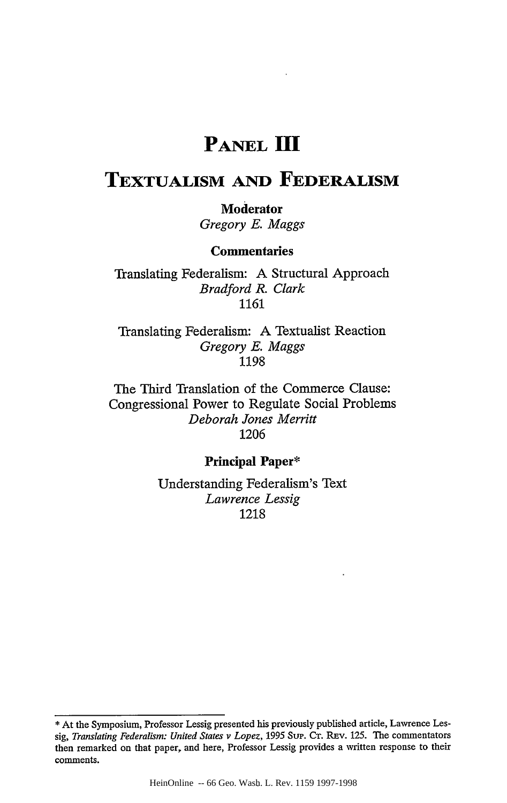## **PANEL II1**

# **TEXTUALISM AND FEDERALISM**

### **Moderator**

*Gregory E. Maggs*

### **Commentaries**

Translating Federalism: **A** Structural Approach *Bradford R. Clark* **1161**

Translating Federalism: **A** Textualist Reaction *Gregory E. Maggs* **1198**

The Third Translation of the Commerce Clause: Congressional Power to Regulate Social Problems *Deborah Jones Merritt* **1206**

### **Principal Paper\***

Understanding Federalism's Text *Lawrence Lessig* 1218

**<sup>\*</sup>** At the Symposium, Professor Lessig presented his previously published article, Lawrence Lessig, *Translating Federalism: United States v Lopez,* **1995** Sup. **CT.** REv. **125.** The commentators then remarked on that paper, and here, Professor Lessig provides a written response to their comments.